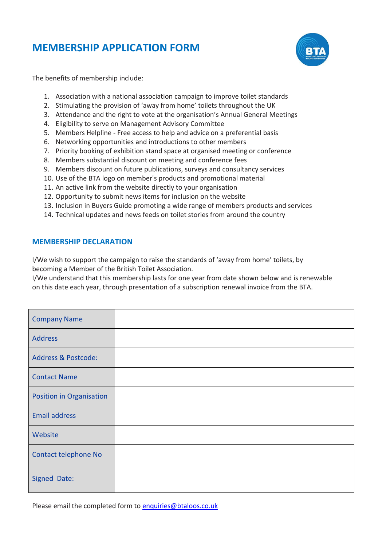# **MEMBERSHIP APPLICATION FORM**



The benefits of membership include:

- 1. Association with a national association campaign to improve toilet standards
- 2. Stimulating the provision of 'away from home' toilets throughout the UK
- 3. Attendance and the right to vote at the organisation's Annual General Meetings
- 4. Eligibility to serve on Management Advisory Committee
- 5. Members Helpline Free access to help and advice on a preferential basis
- 6. Networking opportunities and introductions to other members
- 7. Priority booking of exhibition stand space at organised meeting or conference
- 8. Members substantial discount on meeting and conference fees
- 9. Members discount on future publications, surveys and consultancy services
- 10. Use of the BTA logo on member's products and promotional material
- 11. An active link from the website directly to your organisation
- 12. Opportunity to submit news items for inclusion on the website
- 13. Inclusion in Buyers Guide promoting a wide range of members products and services
- 14. Technical updates and news feeds on toilet stories from around the country

#### **MEMBERSHIP DECLARATION**

I/We wish to support the campaign to raise the standards of 'away from home' toilets, by becoming a Member of the British Toilet Association.

I/We understand that this membership lasts for one year from date shown below and is renewable on this date each year, through presentation of a subscription renewal invoice from the BTA.

| <b>Company Name</b>             |  |
|---------------------------------|--|
| <b>Address</b>                  |  |
| <b>Address &amp; Postcode:</b>  |  |
| <b>Contact Name</b>             |  |
| <b>Position in Organisation</b> |  |
| <b>Email address</b>            |  |
| Website                         |  |
| Contact telephone No            |  |
| Signed Date:                    |  |

Please email the completed form to [enquiries@btaloos.co.uk](mailto:enquiries@btaloos.co.uk)